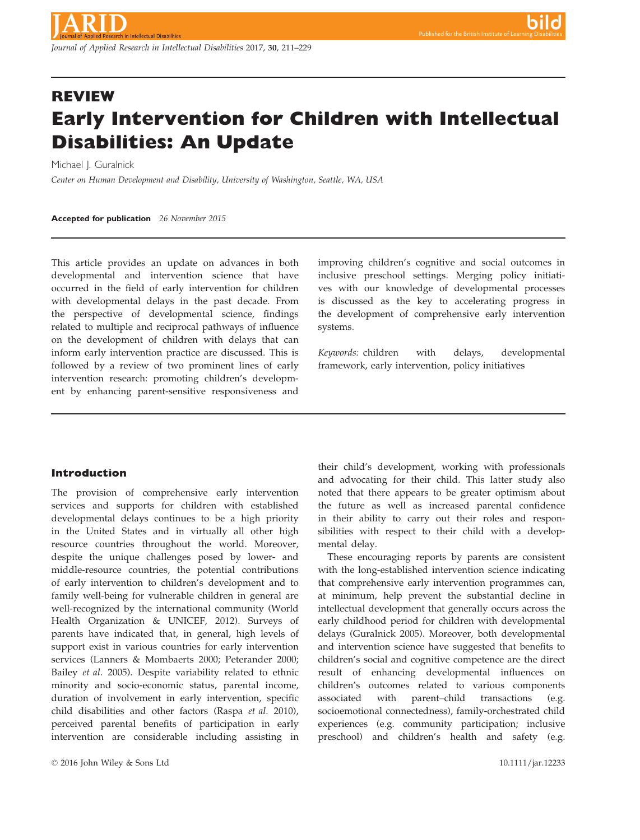# **REVIEW** Early Intervention for Children with Intellectual Disabilities: An Update

Michael J. Guralnick

Center on Human Development and Disability, University of Washington, Seattle, WA, USA

Accepted for publication 26 November 2015

This article provides an update on advances in both developmental and intervention science that have occurred in the field of early intervention for children with developmental delays in the past decade. From the perspective of developmental science, findings related to multiple and reciprocal pathways of influence on the development of children with delays that can inform early intervention practice are discussed. This is followed by a review of two prominent lines of early intervention research: promoting children's development by enhancing parent-sensitive responsiveness and

## Introduction

The provision of comprehensive early intervention services and supports for children with established developmental delays continues to be a high priority in the United States and in virtually all other high resource countries throughout the world. Moreover, despite the unique challenges posed by lower- and middle-resource countries, the potential contributions of early intervention to children's development and to family well-being for vulnerable children in general are well-recognized by the international community (World Health Organization & UNICEF, 2012). Surveys of parents have indicated that, in general, high levels of support exist in various countries for early intervention services (Lanners & Mombaerts 2000; Peterander 2000; Bailey et al. 2005). Despite variability related to ethnic minority and socio-economic status, parental income, duration of involvement in early intervention, specific child disabilities and other factors (Raspa et al. 2010), perceived parental benefits of participation in early intervention are considerable including assisting in

improving children's cognitive and social outcomes in inclusive preschool settings. Merging policy initiatives with our knowledge of developmental processes is discussed as the key to accelerating progress in the development of comprehensive early intervention systems.

Keywords: children with delays, developmental framework, early intervention, policy initiatives

their child's development, working with professionals and advocating for their child. This latter study also noted that there appears to be greater optimism about the future as well as increased parental confidence in their ability to carry out their roles and responsibilities with respect to their child with a developmental delay.

These encouraging reports by parents are consistent with the long-established intervention science indicating that comprehensive early intervention programmes can, at minimum, help prevent the substantial decline in intellectual development that generally occurs across the early childhood period for children with developmental delays (Guralnick 2005). Moreover, both developmental and intervention science have suggested that benefits to children's social and cognitive competence are the direct result of enhancing developmental influences on children's outcomes related to various components associated with parent–child transactions (e.g. socioemotional connectedness), family-orchestrated child experiences (e.g. community participation; inclusive preschool) and children's health and safety (e.g.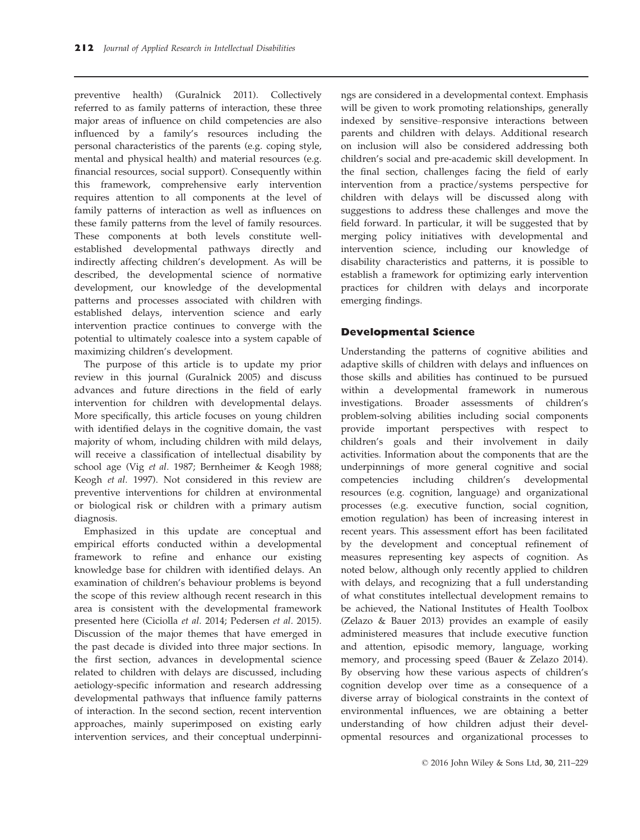preventive health) (Guralnick 2011). Collectively referred to as family patterns of interaction, these three major areas of influence on child competencies are also influenced by a family's resources including the personal characteristics of the parents (e.g. coping style, mental and physical health) and material resources (e.g. financial resources, social support). Consequently within this framework, comprehensive early intervention requires attention to all components at the level of family patterns of interaction as well as influences on these family patterns from the level of family resources. These components at both levels constitute wellestablished developmental pathways directly and indirectly affecting children's development. As will be described, the developmental science of normative development, our knowledge of the developmental patterns and processes associated with children with established delays, intervention science and early intervention practice continues to converge with the potential to ultimately coalesce into a system capable of maximizing children's development.

The purpose of this article is to update my prior review in this journal (Guralnick 2005) and discuss advances and future directions in the field of early intervention for children with developmental delays. More specifically, this article focuses on young children with identified delays in the cognitive domain, the vast majority of whom, including children with mild delays, will receive a classification of intellectual disability by school age (Vig et al. 1987; Bernheimer & Keogh 1988; Keogh et al. 1997). Not considered in this review are preventive interventions for children at environmental or biological risk or children with a primary autism diagnosis.

Emphasized in this update are conceptual and empirical efforts conducted within a developmental framework to refine and enhance our existing knowledge base for children with identified delays. An examination of children's behaviour problems is beyond the scope of this review although recent research in this area is consistent with the developmental framework presented here (Ciciolla et al. 2014; Pedersen et al. 2015). Discussion of the major themes that have emerged in the past decade is divided into three major sections. In the first section, advances in developmental science related to children with delays are discussed, including aetiology-specific information and research addressing developmental pathways that influence family patterns of interaction. In the second section, recent intervention approaches, mainly superimposed on existing early intervention services, and their conceptual underpinnings are considered in a developmental context. Emphasis will be given to work promoting relationships, generally indexed by sensitive–responsive interactions between parents and children with delays. Additional research on inclusion will also be considered addressing both children's social and pre-academic skill development. In the final section, challenges facing the field of early intervention from a practice/systems perspective for children with delays will be discussed along with suggestions to address these challenges and move the field forward. In particular, it will be suggested that by merging policy initiatives with developmental and intervention science, including our knowledge of disability characteristics and patterns, it is possible to establish a framework for optimizing early intervention practices for children with delays and incorporate emerging findings.

## Developmental Science

Understanding the patterns of cognitive abilities and adaptive skills of children with delays and influences on those skills and abilities has continued to be pursued within a developmental framework in numerous investigations. Broader assessments of children's problem-solving abilities including social components provide important perspectives with respect to children's goals and their involvement in daily activities. Information about the components that are the underpinnings of more general cognitive and social competencies including children's developmental resources (e.g. cognition, language) and organizational processes (e.g. executive function, social cognition, emotion regulation) has been of increasing interest in recent years. This assessment effort has been facilitated by the development and conceptual refinement of measures representing key aspects of cognition. As noted below, although only recently applied to children with delays, and recognizing that a full understanding of what constitutes intellectual development remains to be achieved, the National Institutes of Health Toolbox (Zelazo & Bauer 2013) provides an example of easily administered measures that include executive function and attention, episodic memory, language, working memory, and processing speed (Bauer & Zelazo 2014). By observing how these various aspects of children's cognition develop over time as a consequence of a diverse array of biological constraints in the context of environmental influences, we are obtaining a better understanding of how children adjust their developmental resources and organizational processes to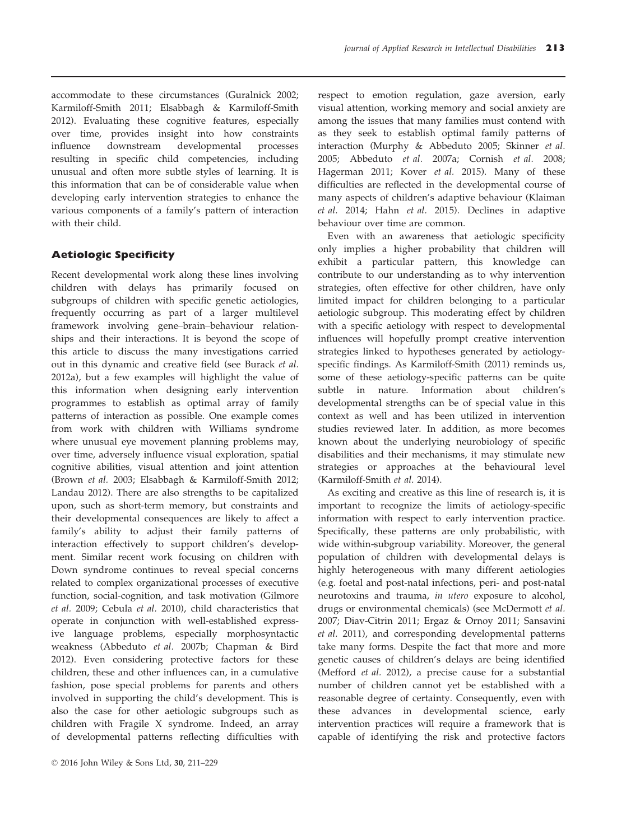accommodate to these circumstances (Guralnick 2002; Karmiloff-Smith 2011; Elsabbagh & Karmiloff-Smith 2012). Evaluating these cognitive features, especially over time, provides insight into how constraints influence downstream developmental processes resulting in specific child competencies, including unusual and often more subtle styles of learning. It is this information that can be of considerable value when developing early intervention strategies to enhance the various components of a family's pattern of interaction with their child.

## Aetiologic Specificity

Recent developmental work along these lines involving children with delays has primarily focused on subgroups of children with specific genetic aetiologies, frequently occurring as part of a larger multilevel framework involving gene–brain–behaviour relationships and their interactions. It is beyond the scope of this article to discuss the many investigations carried out in this dynamic and creative field (see Burack et al. 2012a), but a few examples will highlight the value of this information when designing early intervention programmes to establish as optimal array of family patterns of interaction as possible. One example comes from work with children with Williams syndrome where unusual eye movement planning problems may, over time, adversely influence visual exploration, spatial cognitive abilities, visual attention and joint attention (Brown et al. 2003; Elsabbagh & Karmiloff-Smith 2012; Landau 2012). There are also strengths to be capitalized upon, such as short-term memory, but constraints and their developmental consequences are likely to affect a family's ability to adjust their family patterns of interaction effectively to support children's development. Similar recent work focusing on children with Down syndrome continues to reveal special concerns related to complex organizational processes of executive function, social-cognition, and task motivation (Gilmore et al. 2009; Cebula et al. 2010), child characteristics that operate in conjunction with well-established expressive language problems, especially morphosyntactic weakness (Abbeduto et al. 2007b; Chapman & Bird 2012). Even considering protective factors for these children, these and other influences can, in a cumulative fashion, pose special problems for parents and others involved in supporting the child's development. This is also the case for other aetiologic subgroups such as children with Fragile X syndrome. Indeed, an array of developmental patterns reflecting difficulties with respect to emotion regulation, gaze aversion, early visual attention, working memory and social anxiety are among the issues that many families must contend with as they seek to establish optimal family patterns of interaction (Murphy & Abbeduto 2005; Skinner et al. 2005; Abbeduto et al. 2007a; Cornish et al. 2008; Hagerman 2011; Kover et al. 2015). Many of these difficulties are reflected in the developmental course of many aspects of children's adaptive behaviour (Klaiman et al. 2014; Hahn et al. 2015). Declines in adaptive behaviour over time are common.

Even with an awareness that aetiologic specificity only implies a higher probability that children will exhibit a particular pattern, this knowledge can contribute to our understanding as to why intervention strategies, often effective for other children, have only limited impact for children belonging to a particular aetiologic subgroup. This moderating effect by children with a specific aetiology with respect to developmental influences will hopefully prompt creative intervention strategies linked to hypotheses generated by aetiologyspecific findings. As Karmiloff-Smith (2011) reminds us, some of these aetiology-specific patterns can be quite subtle in nature. Information about children's developmental strengths can be of special value in this context as well and has been utilized in intervention studies reviewed later. In addition, as more becomes known about the underlying neurobiology of specific disabilities and their mechanisms, it may stimulate new strategies or approaches at the behavioural level (Karmiloff-Smith et al. 2014).

As exciting and creative as this line of research is, it is important to recognize the limits of aetiology-specific information with respect to early intervention practice. Specifically, these patterns are only probabilistic, with wide within-subgroup variability. Moreover, the general population of children with developmental delays is highly heterogeneous with many different aetiologies (e.g. foetal and post-natal infections, peri- and post-natal neurotoxins and trauma, in utero exposure to alcohol, drugs or environmental chemicals) (see McDermott et al. 2007; Diav-Citrin 2011; Ergaz & Ornoy 2011; Sansavini et al. 2011), and corresponding developmental patterns take many forms. Despite the fact that more and more genetic causes of children's delays are being identified (Mefford et al. 2012), a precise cause for a substantial number of children cannot yet be established with a reasonable degree of certainty. Consequently, even with these advances in developmental science, early intervention practices will require a framework that is capable of identifying the risk and protective factors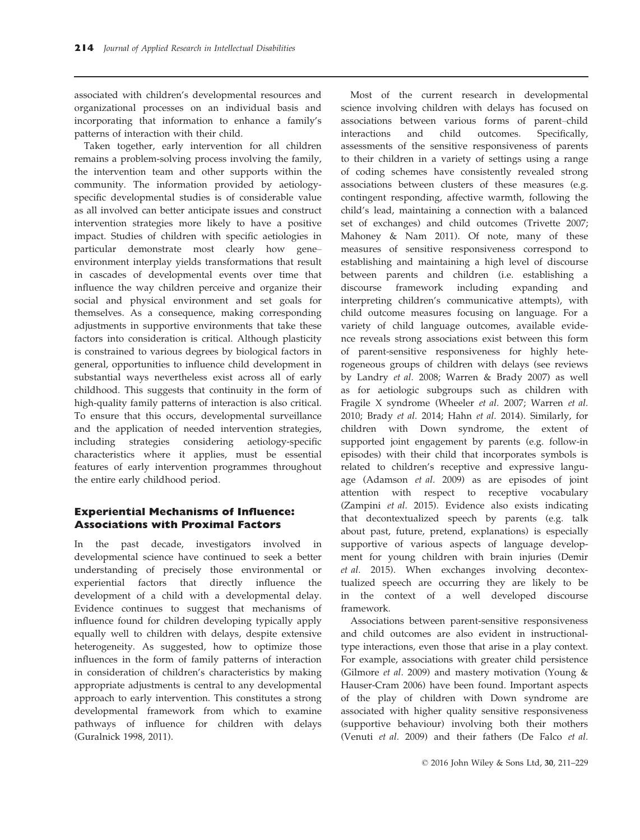associated with children's developmental resources and organizational processes on an individual basis and incorporating that information to enhance a family's patterns of interaction with their child.

Taken together, early intervention for all children remains a problem-solving process involving the family, the intervention team and other supports within the community. The information provided by aetiologyspecific developmental studies is of considerable value as all involved can better anticipate issues and construct intervention strategies more likely to have a positive impact. Studies of children with specific aetiologies in particular demonstrate most clearly how gene– environment interplay yields transformations that result in cascades of developmental events over time that influence the way children perceive and organize their social and physical environment and set goals for themselves. As a consequence, making corresponding adjustments in supportive environments that take these factors into consideration is critical. Although plasticity is constrained to various degrees by biological factors in general, opportunities to influence child development in substantial ways nevertheless exist across all of early childhood. This suggests that continuity in the form of high-quality family patterns of interaction is also critical. To ensure that this occurs, developmental surveillance and the application of needed intervention strategies, including strategies considering aetiology-specific characteristics where it applies, must be essential features of early intervention programmes throughout the entire early childhood period.

## Experiential Mechanisms of Influence: Associations with Proximal Factors

In the past decade, investigators involved in developmental science have continued to seek a better understanding of precisely those environmental or experiential factors that directly influence the development of a child with a developmental delay. Evidence continues to suggest that mechanisms of influence found for children developing typically apply equally well to children with delays, despite extensive heterogeneity. As suggested, how to optimize those influences in the form of family patterns of interaction in consideration of children's characteristics by making appropriate adjustments is central to any developmental approach to early intervention. This constitutes a strong developmental framework from which to examine pathways of influence for children with delays (Guralnick 1998, 2011).

Most of the current research in developmental science involving children with delays has focused on associations between various forms of parent–child interactions and child outcomes. Specifically, assessments of the sensitive responsiveness of parents to their children in a variety of settings using a range of coding schemes have consistently revealed strong associations between clusters of these measures (e.g. contingent responding, affective warmth, following the child's lead, maintaining a connection with a balanced set of exchanges) and child outcomes (Trivette 2007; Mahoney & Nam 2011). Of note, many of these measures of sensitive responsiveness correspond to establishing and maintaining a high level of discourse between parents and children (i.e. establishing a discourse framework including expanding and interpreting children's communicative attempts), with child outcome measures focusing on language. For a variety of child language outcomes, available evidence reveals strong associations exist between this form of parent-sensitive responsiveness for highly heterogeneous groups of children with delays (see reviews by Landry et al. 2008; Warren & Brady 2007) as well as for aetiologic subgroups such as children with Fragile X syndrome (Wheeler et al. 2007; Warren et al. 2010; Brady et al. 2014; Hahn et al. 2014). Similarly, for children with Down syndrome, the extent of supported joint engagement by parents (e.g. follow-in episodes) with their child that incorporates symbols is related to children's receptive and expressive language (Adamson et al. 2009) as are episodes of joint attention with respect to receptive vocabulary (Zampini et al. 2015). Evidence also exists indicating that decontextualized speech by parents (e.g. talk about past, future, pretend, explanations) is especially supportive of various aspects of language development for young children with brain injuries (Demir et al. 2015). When exchanges involving decontextualized speech are occurring they are likely to be in the context of a well developed discourse framework.

Associations between parent-sensitive responsiveness and child outcomes are also evident in instructionaltype interactions, even those that arise in a play context. For example, associations with greater child persistence (Gilmore et al. 2009) and mastery motivation (Young & Hauser-Cram 2006) have been found. Important aspects of the play of children with Down syndrome are associated with higher quality sensitive responsiveness (supportive behaviour) involving both their mothers (Venuti et al. 2009) and their fathers (De Falco et al.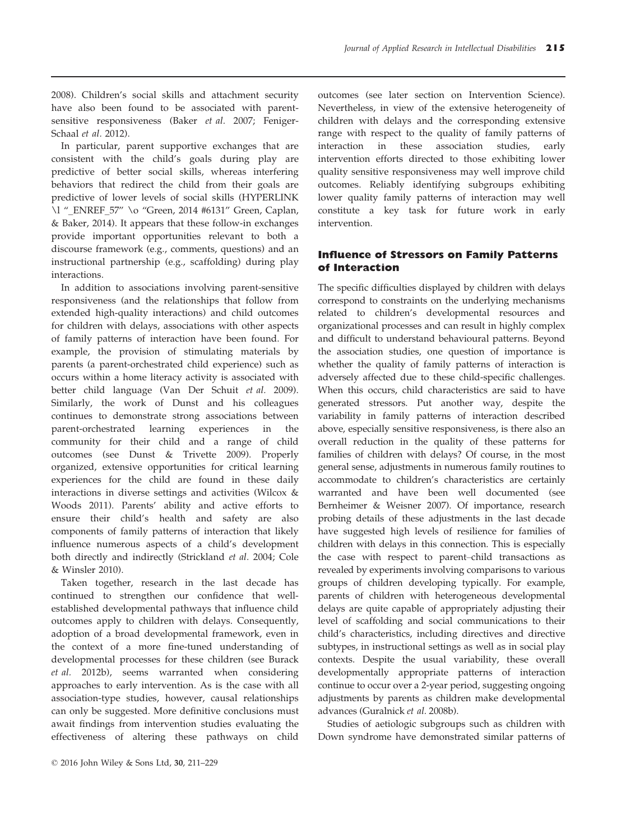2008). Children's social skills and attachment security have also been found to be associated with parentsensitive responsiveness (Baker et al. 2007; Feniger-Schaal et al. 2012).

In particular, parent supportive exchanges that are consistent with the child's goals during play are predictive of better social skills, whereas interfering behaviors that redirect the child from their goals are predictive of lower levels of social skills (HYPERLINK \l "\_ENREF\_57" \o "Green, 2014 #6131" Green, Caplan, & Baker, 2014). It appears that these follow-in exchanges provide important opportunities relevant to both a discourse framework (e.g., comments, questions) and an instructional partnership (e.g., scaffolding) during play interactions.

In addition to associations involving parent-sensitive responsiveness (and the relationships that follow from extended high-quality interactions) and child outcomes for children with delays, associations with other aspects of family patterns of interaction have been found. For example, the provision of stimulating materials by parents (a parent-orchestrated child experience) such as occurs within a home literacy activity is associated with better child language (Van Der Schuit et al. 2009). Similarly, the work of Dunst and his colleagues continues to demonstrate strong associations between parent-orchestrated learning experiences in the community for their child and a range of child outcomes (see Dunst & Trivette 2009). Properly organized, extensive opportunities for critical learning experiences for the child are found in these daily interactions in diverse settings and activities (Wilcox & Woods 2011). Parents' ability and active efforts to ensure their child's health and safety are also components of family patterns of interaction that likely influence numerous aspects of a child's development both directly and indirectly (Strickland et al. 2004; Cole & Winsler 2010).

Taken together, research in the last decade has continued to strengthen our confidence that wellestablished developmental pathways that influence child outcomes apply to children with delays. Consequently, adoption of a broad developmental framework, even in the context of a more fine-tuned understanding of developmental processes for these children (see Burack et al. 2012b), seems warranted when considering approaches to early intervention. As is the case with all association-type studies, however, causal relationships can only be suggested. More definitive conclusions must await findings from intervention studies evaluating the effectiveness of altering these pathways on child outcomes (see later section on Intervention Science). Nevertheless, in view of the extensive heterogeneity of children with delays and the corresponding extensive range with respect to the quality of family patterns of interaction in these association studies, early intervention efforts directed to those exhibiting lower quality sensitive responsiveness may well improve child outcomes. Reliably identifying subgroups exhibiting lower quality family patterns of interaction may well constitute a key task for future work in early intervention.

# Influence of Stressors on Family Patterns of Interaction

The specific difficulties displayed by children with delays correspond to constraints on the underlying mechanisms related to children's developmental resources and organizational processes and can result in highly complex and difficult to understand behavioural patterns. Beyond the association studies, one question of importance is whether the quality of family patterns of interaction is adversely affected due to these child-specific challenges. When this occurs, child characteristics are said to have generated stressors. Put another way, despite the variability in family patterns of interaction described above, especially sensitive responsiveness, is there also an overall reduction in the quality of these patterns for families of children with delays? Of course, in the most general sense, adjustments in numerous family routines to accommodate to children's characteristics are certainly warranted and have been well documented (see Bernheimer & Weisner 2007). Of importance, research probing details of these adjustments in the last decade have suggested high levels of resilience for families of children with delays in this connection. This is especially the case with respect to parent–child transactions as revealed by experiments involving comparisons to various groups of children developing typically. For example, parents of children with heterogeneous developmental delays are quite capable of appropriately adjusting their level of scaffolding and social communications to their child's characteristics, including directives and directive subtypes, in instructional settings as well as in social play contexts. Despite the usual variability, these overall developmentally appropriate patterns of interaction continue to occur over a 2-year period, suggesting ongoing adjustments by parents as children make developmental advances (Guralnick et al. 2008b).

Studies of aetiologic subgroups such as children with Down syndrome have demonstrated similar patterns of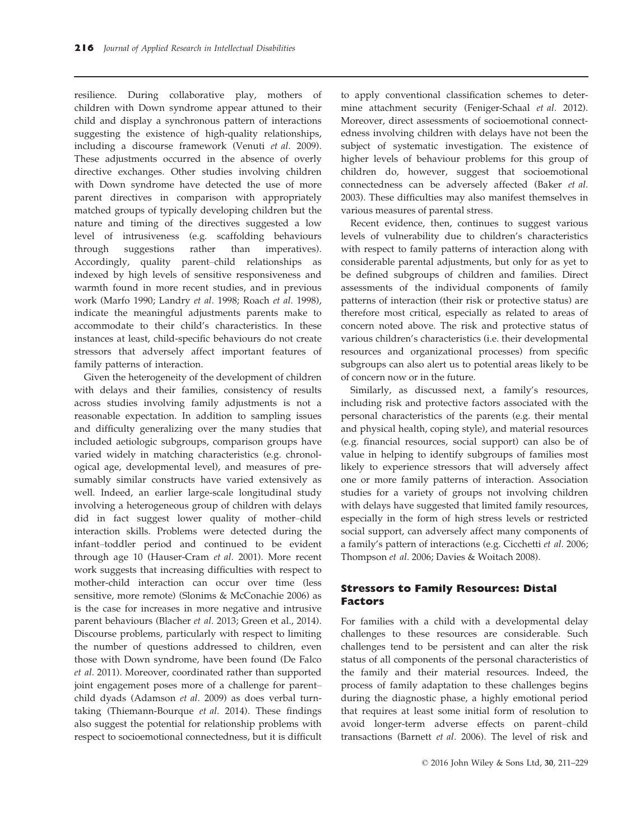resilience. During collaborative play, mothers of children with Down syndrome appear attuned to their child and display a synchronous pattern of interactions suggesting the existence of high-quality relationships, including a discourse framework (Venuti et al. 2009). These adjustments occurred in the absence of overly directive exchanges. Other studies involving children with Down syndrome have detected the use of more parent directives in comparison with appropriately matched groups of typically developing children but the nature and timing of the directives suggested a low level of intrusiveness (e.g. scaffolding behaviours through suggestions rather than imperatives). Accordingly, quality parent–child relationships as indexed by high levels of sensitive responsiveness and warmth found in more recent studies, and in previous work (Marfo 1990; Landry et al. 1998; Roach et al. 1998), indicate the meaningful adjustments parents make to accommodate to their child's characteristics. In these instances at least, child-specific behaviours do not create stressors that adversely affect important features of family patterns of interaction.

Given the heterogeneity of the development of children with delays and their families, consistency of results across studies involving family adjustments is not a reasonable expectation. In addition to sampling issues and difficulty generalizing over the many studies that included aetiologic subgroups, comparison groups have varied widely in matching characteristics (e.g. chronological age, developmental level), and measures of presumably similar constructs have varied extensively as well. Indeed, an earlier large-scale longitudinal study involving a heterogeneous group of children with delays did in fact suggest lower quality of mother–child interaction skills. Problems were detected during the infant–toddler period and continued to be evident through age 10 (Hauser-Cram et al. 2001). More recent work suggests that increasing difficulties with respect to mother-child interaction can occur over time (less sensitive, more remote) (Slonims & McConachie 2006) as is the case for increases in more negative and intrusive parent behaviours (Blacher et al. 2013; Green et al., 2014). Discourse problems, particularly with respect to limiting the number of questions addressed to children, even those with Down syndrome, have been found (De Falco et al. 2011). Moreover, coordinated rather than supported joint engagement poses more of a challenge for parent– child dyads (Adamson et al. 2009) as does verbal turntaking (Thiemann-Bourque et al. 2014). These findings also suggest the potential for relationship problems with respect to socioemotional connectedness, but it is difficult to apply conventional classification schemes to determine attachment security (Feniger-Schaal et al. 2012). Moreover, direct assessments of socioemotional connectedness involving children with delays have not been the subject of systematic investigation. The existence of higher levels of behaviour problems for this group of children do, however, suggest that socioemotional connectedness can be adversely affected (Baker et al. 2003). These difficulties may also manifest themselves in various measures of parental stress.

Recent evidence, then, continues to suggest various levels of vulnerability due to children's characteristics with respect to family patterns of interaction along with considerable parental adjustments, but only for as yet to be defined subgroups of children and families. Direct assessments of the individual components of family patterns of interaction (their risk or protective status) are therefore most critical, especially as related to areas of concern noted above. The risk and protective status of various children's characteristics (i.e. their developmental resources and organizational processes) from specific subgroups can also alert us to potential areas likely to be of concern now or in the future.

Similarly, as discussed next, a family's resources, including risk and protective factors associated with the personal characteristics of the parents (e.g. their mental and physical health, coping style), and material resources (e.g. financial resources, social support) can also be of value in helping to identify subgroups of families most likely to experience stressors that will adversely affect one or more family patterns of interaction. Association studies for a variety of groups not involving children with delays have suggested that limited family resources, especially in the form of high stress levels or restricted social support, can adversely affect many components of a family's pattern of interactions (e.g. Cicchetti et al. 2006; Thompson et al. 2006; Davies & Woitach 2008).

# Stressors to Family Resources: Distal Factors

For families with a child with a developmental delay challenges to these resources are considerable. Such challenges tend to be persistent and can alter the risk status of all components of the personal characteristics of the family and their material resources. Indeed, the process of family adaptation to these challenges begins during the diagnostic phase, a highly emotional period that requires at least some initial form of resolution to avoid longer-term adverse effects on parent–child transactions (Barnett et al. 2006). The level of risk and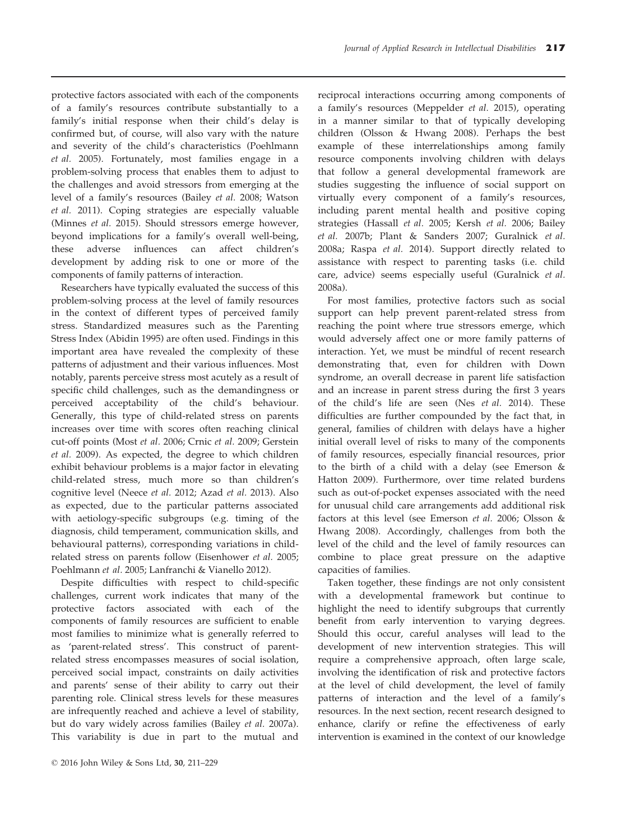protective factors associated with each of the components of a family's resources contribute substantially to a family's initial response when their child's delay is confirmed but, of course, will also vary with the nature and severity of the child's characteristics (Poehlmann et al. 2005). Fortunately, most families engage in a problem-solving process that enables them to adjust to the challenges and avoid stressors from emerging at the level of a family's resources (Bailey et al. 2008; Watson et al. 2011). Coping strategies are especially valuable (Minnes et al. 2015). Should stressors emerge however, beyond implications for a family's overall well-being, these adverse influences can affect children's development by adding risk to one or more of the components of family patterns of interaction.

Researchers have typically evaluated the success of this problem-solving process at the level of family resources in the context of different types of perceived family stress. Standardized measures such as the Parenting Stress Index (Abidin 1995) are often used. Findings in this important area have revealed the complexity of these patterns of adjustment and their various influences. Most notably, parents perceive stress most acutely as a result of specific child challenges, such as the demandingness or perceived acceptability of the child's behaviour. Generally, this type of child-related stress on parents increases over time with scores often reaching clinical cut-off points (Most et al. 2006; Crnic et al. 2009; Gerstein et al. 2009). As expected, the degree to which children exhibit behaviour problems is a major factor in elevating child-related stress, much more so than children's cognitive level (Neece et al. 2012; Azad et al. 2013). Also as expected, due to the particular patterns associated with aetiology-specific subgroups (e.g. timing of the diagnosis, child temperament, communication skills, and behavioural patterns), corresponding variations in childrelated stress on parents follow (Eisenhower et al. 2005; Poehlmann et al. 2005; Lanfranchi & Vianello 2012).

Despite difficulties with respect to child-specific challenges, current work indicates that many of the protective factors associated with each of the components of family resources are sufficient to enable most families to minimize what is generally referred to as 'parent-related stress'. This construct of parentrelated stress encompasses measures of social isolation, perceived social impact, constraints on daily activities and parents' sense of their ability to carry out their parenting role. Clinical stress levels for these measures are infrequently reached and achieve a level of stability, but do vary widely across families (Bailey et al. 2007a). This variability is due in part to the mutual and reciprocal interactions occurring among components of a family's resources (Meppelder et al. 2015), operating in a manner similar to that of typically developing children (Olsson & Hwang 2008). Perhaps the best example of these interrelationships among family resource components involving children with delays that follow a general developmental framework are studies suggesting the influence of social support on virtually every component of a family's resources, including parent mental health and positive coping strategies (Hassall et al. 2005; Kersh et al. 2006; Bailey et al. 2007b; Plant & Sanders 2007; Guralnick et al. 2008a; Raspa et al. 2014). Support directly related to assistance with respect to parenting tasks (i.e. child care, advice) seems especially useful (Guralnick et al. 2008a).

For most families, protective factors such as social support can help prevent parent-related stress from reaching the point where true stressors emerge, which would adversely affect one or more family patterns of interaction. Yet, we must be mindful of recent research demonstrating that, even for children with Down syndrome, an overall decrease in parent life satisfaction and an increase in parent stress during the first 3 years of the child's life are seen (Nes et al. 2014). These difficulties are further compounded by the fact that, in general, families of children with delays have a higher initial overall level of risks to many of the components of family resources, especially financial resources, prior to the birth of a child with a delay (see Emerson & Hatton 2009). Furthermore, over time related burdens such as out-of-pocket expenses associated with the need for unusual child care arrangements add additional risk factors at this level (see Emerson et al. 2006; Olsson & Hwang 2008). Accordingly, challenges from both the level of the child and the level of family resources can combine to place great pressure on the adaptive capacities of families.

Taken together, these findings are not only consistent with a developmental framework but continue to highlight the need to identify subgroups that currently benefit from early intervention to varying degrees. Should this occur, careful analyses will lead to the development of new intervention strategies. This will require a comprehensive approach, often large scale, involving the identification of risk and protective factors at the level of child development, the level of family patterns of interaction and the level of a family's resources. In the next section, recent research designed to enhance, clarify or refine the effectiveness of early intervention is examined in the context of our knowledge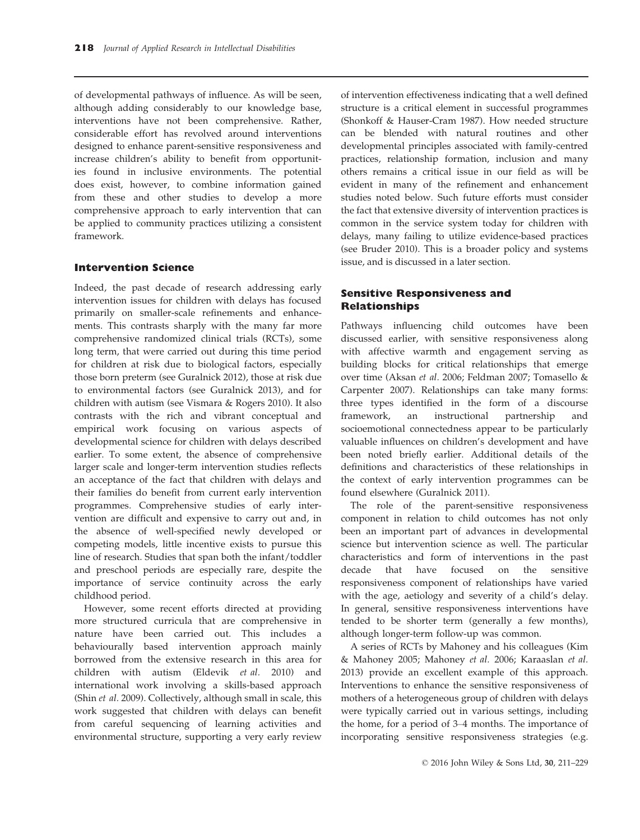of developmental pathways of influence. As will be seen, although adding considerably to our knowledge base, interventions have not been comprehensive. Rather, considerable effort has revolved around interventions designed to enhance parent-sensitive responsiveness and increase children's ability to benefit from opportunities found in inclusive environments. The potential does exist, however, to combine information gained from these and other studies to develop a more comprehensive approach to early intervention that can be applied to community practices utilizing a consistent framework.

#### Intervention Science

Indeed, the past decade of research addressing early intervention issues for children with delays has focused primarily on smaller-scale refinements and enhancements. This contrasts sharply with the many far more comprehensive randomized clinical trials (RCTs), some long term, that were carried out during this time period for children at risk due to biological factors, especially those born preterm (see Guralnick 2012), those at risk due to environmental factors (see Guralnick 2013), and for children with autism (see Vismara & Rogers 2010). It also contrasts with the rich and vibrant conceptual and empirical work focusing on various aspects of developmental science for children with delays described earlier. To some extent, the absence of comprehensive larger scale and longer-term intervention studies reflects an acceptance of the fact that children with delays and their families do benefit from current early intervention programmes. Comprehensive studies of early intervention are difficult and expensive to carry out and, in the absence of well-specified newly developed or competing models, little incentive exists to pursue this line of research. Studies that span both the infant/toddler and preschool periods are especially rare, despite the importance of service continuity across the early childhood period.

However, some recent efforts directed at providing more structured curricula that are comprehensive in nature have been carried out. This includes a behaviourally based intervention approach mainly borrowed from the extensive research in this area for children with autism (Eldevik et al. 2010) and international work involving a skills-based approach (Shin et al. 2009). Collectively, although small in scale, this work suggested that children with delays can benefit from careful sequencing of learning activities and environmental structure, supporting a very early review

of intervention effectiveness indicating that a well defined structure is a critical element in successful programmes (Shonkoff & Hauser-Cram 1987). How needed structure can be blended with natural routines and other developmental principles associated with family-centred practices, relationship formation, inclusion and many others remains a critical issue in our field as will be evident in many of the refinement and enhancement studies noted below. Such future efforts must consider the fact that extensive diversity of intervention practices is common in the service system today for children with delays, many failing to utilize evidence-based practices (see Bruder 2010). This is a broader policy and systems issue, and is discussed in a later section.

# Sensitive Responsiveness and Relationships

Pathways influencing child outcomes have been discussed earlier, with sensitive responsiveness along with affective warmth and engagement serving as building blocks for critical relationships that emerge over time (Aksan et al. 2006; Feldman 2007; Tomasello & Carpenter 2007). Relationships can take many forms: three types identified in the form of a discourse framework, an instructional partnership and socioemotional connectedness appear to be particularly valuable influences on children's development and have been noted briefly earlier. Additional details of the definitions and characteristics of these relationships in the context of early intervention programmes can be found elsewhere (Guralnick 2011).

The role of the parent-sensitive responsiveness component in relation to child outcomes has not only been an important part of advances in developmental science but intervention science as well. The particular characteristics and form of interventions in the past decade that have focused on the sensitive responsiveness component of relationships have varied with the age, aetiology and severity of a child's delay. In general, sensitive responsiveness interventions have tended to be shorter term (generally a few months), although longer-term follow-up was common.

A series of RCTs by Mahoney and his colleagues (Kim & Mahoney 2005; Mahoney et al. 2006; Karaaslan et al. 2013) provide an excellent example of this approach. Interventions to enhance the sensitive responsiveness of mothers of a heterogeneous group of children with delays were typically carried out in various settings, including the home, for a period of 3–4 months. The importance of incorporating sensitive responsiveness strategies (e.g.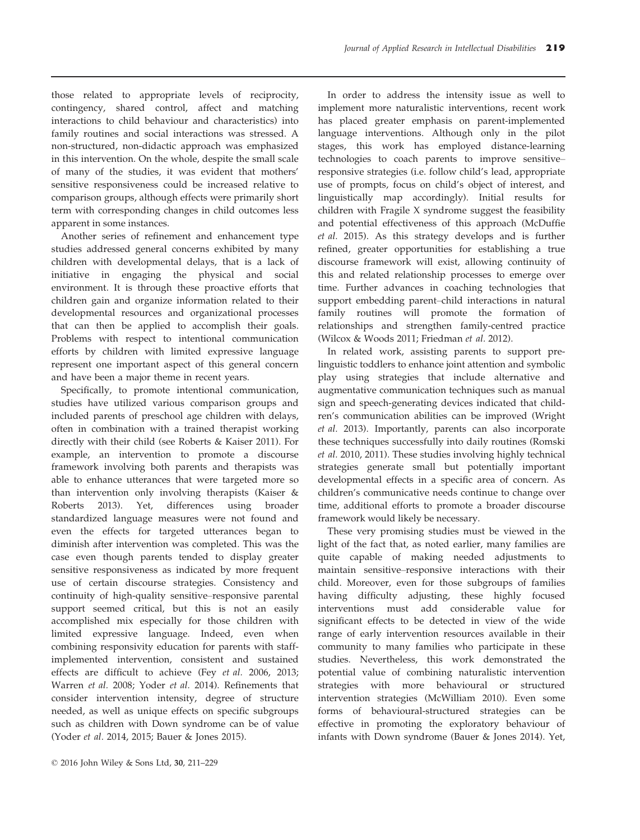those related to appropriate levels of reciprocity, contingency, shared control, affect and matching interactions to child behaviour and characteristics) into family routines and social interactions was stressed. A non-structured, non-didactic approach was emphasized in this intervention. On the whole, despite the small scale of many of the studies, it was evident that mothers' sensitive responsiveness could be increased relative to comparison groups, although effects were primarily short term with corresponding changes in child outcomes less apparent in some instances.

Another series of refinement and enhancement type studies addressed general concerns exhibited by many children with developmental delays, that is a lack of initiative in engaging the physical and social environment. It is through these proactive efforts that children gain and organize information related to their developmental resources and organizational processes that can then be applied to accomplish their goals. Problems with respect to intentional communication efforts by children with limited expressive language represent one important aspect of this general concern and have been a major theme in recent years.

Specifically, to promote intentional communication, studies have utilized various comparison groups and included parents of preschool age children with delays, often in combination with a trained therapist working directly with their child (see Roberts & Kaiser 2011). For example, an intervention to promote a discourse framework involving both parents and therapists was able to enhance utterances that were targeted more so than intervention only involving therapists (Kaiser & Roberts 2013). Yet, differences using broader standardized language measures were not found and even the effects for targeted utterances began to diminish after intervention was completed. This was the case even though parents tended to display greater sensitive responsiveness as indicated by more frequent use of certain discourse strategies. Consistency and continuity of high-quality sensitive–responsive parental support seemed critical, but this is not an easily accomplished mix especially for those children with limited expressive language. Indeed, even when combining responsivity education for parents with staffimplemented intervention, consistent and sustained effects are difficult to achieve (Fey et al. 2006, 2013; Warren et al. 2008; Yoder et al. 2014). Refinements that consider intervention intensity, degree of structure needed, as well as unique effects on specific subgroups such as children with Down syndrome can be of value (Yoder et al. 2014, 2015; Bauer & Jones 2015).

In order to address the intensity issue as well to implement more naturalistic interventions, recent work has placed greater emphasis on parent-implemented language interventions. Although only in the pilot stages, this work has employed distance-learning technologies to coach parents to improve sensitive– responsive strategies (i.e. follow child's lead, appropriate use of prompts, focus on child's object of interest, and linguistically map accordingly). Initial results for children with Fragile X syndrome suggest the feasibility and potential effectiveness of this approach (McDuffie et al. 2015). As this strategy develops and is further refined, greater opportunities for establishing a true discourse framework will exist, allowing continuity of this and related relationship processes to emerge over time. Further advances in coaching technologies that support embedding parent–child interactions in natural family routines will promote the formation of relationships and strengthen family-centred practice (Wilcox & Woods 2011; Friedman et al. 2012).

In related work, assisting parents to support prelinguistic toddlers to enhance joint attention and symbolic play using strategies that include alternative and augmentative communication techniques such as manual sign and speech-generating devices indicated that children's communication abilities can be improved (Wright et al. 2013). Importantly, parents can also incorporate these techniques successfully into daily routines (Romski et al. 2010, 2011). These studies involving highly technical strategies generate small but potentially important developmental effects in a specific area of concern. As children's communicative needs continue to change over time, additional efforts to promote a broader discourse framework would likely be necessary.

These very promising studies must be viewed in the light of the fact that, as noted earlier, many families are quite capable of making needed adjustments to maintain sensitive–responsive interactions with their child. Moreover, even for those subgroups of families having difficulty adjusting, these highly focused interventions must add considerable value for significant effects to be detected in view of the wide range of early intervention resources available in their community to many families who participate in these studies. Nevertheless, this work demonstrated the potential value of combining naturalistic intervention strategies with more behavioural or structured intervention strategies (McWilliam 2010). Even some forms of behavioural-structured strategies can be effective in promoting the exploratory behaviour of infants with Down syndrome (Bauer & Jones 2014). Yet,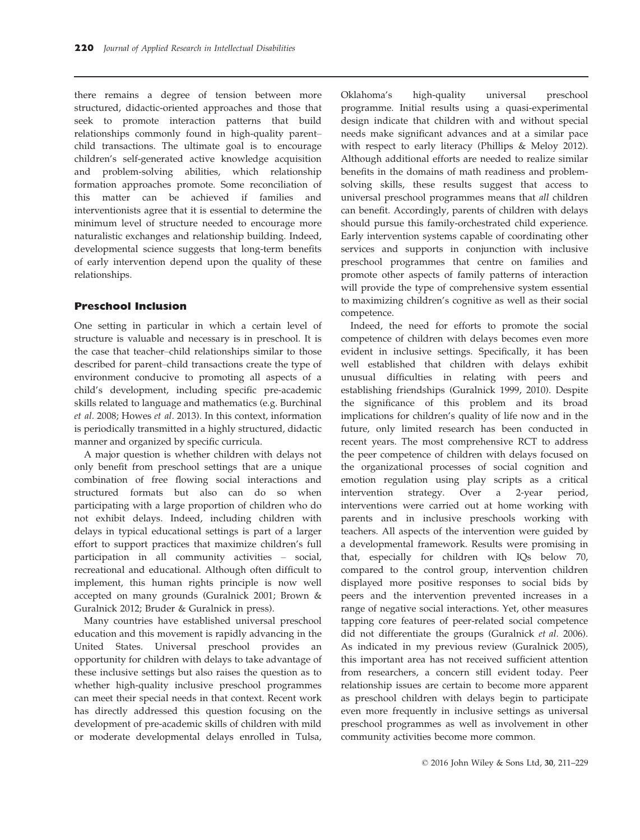there remains a degree of tension between more structured, didactic-oriented approaches and those that seek to promote interaction patterns that build relationships commonly found in high-quality parent– child transactions. The ultimate goal is to encourage children's self-generated active knowledge acquisition and problem-solving abilities, which relationship formation approaches promote. Some reconciliation of this matter can be achieved if families and interventionists agree that it is essential to determine the minimum level of structure needed to encourage more naturalistic exchanges and relationship building. Indeed, developmental science suggests that long-term benefits of early intervention depend upon the quality of these relationships.

## Preschool Inclusion

One setting in particular in which a certain level of structure is valuable and necessary is in preschool. It is the case that teacher–child relationships similar to those described for parent–child transactions create the type of environment conducive to promoting all aspects of a child's development, including specific pre-academic skills related to language and mathematics (e.g. Burchinal et al. 2008; Howes et al. 2013). In this context, information is periodically transmitted in a highly structured, didactic manner and organized by specific curricula.

A major question is whether children with delays not only benefit from preschool settings that are a unique combination of free flowing social interactions and structured formats but also can do so when participating with a large proportion of children who do not exhibit delays. Indeed, including children with delays in typical educational settings is part of a larger effort to support practices that maximize children's full participation in all community activities – social, recreational and educational. Although often difficult to implement, this human rights principle is now well accepted on many grounds (Guralnick 2001; Brown & Guralnick 2012; Bruder & Guralnick in press).

Many countries have established universal preschool education and this movement is rapidly advancing in the United States. Universal preschool provides an opportunity for children with delays to take advantage of these inclusive settings but also raises the question as to whether high-quality inclusive preschool programmes can meet their special needs in that context. Recent work has directly addressed this question focusing on the development of pre-academic skills of children with mild or moderate developmental delays enrolled in Tulsa, Oklahoma's high-quality universal preschool programme. Initial results using a quasi-experimental design indicate that children with and without special needs make significant advances and at a similar pace with respect to early literacy (Phillips & Meloy 2012). Although additional efforts are needed to realize similar benefits in the domains of math readiness and problemsolving skills, these results suggest that access to universal preschool programmes means that all children can benefit. Accordingly, parents of children with delays should pursue this family-orchestrated child experience. Early intervention systems capable of coordinating other services and supports in conjunction with inclusive preschool programmes that centre on families and promote other aspects of family patterns of interaction will provide the type of comprehensive system essential to maximizing children's cognitive as well as their social competence.

Indeed, the need for efforts to promote the social competence of children with delays becomes even more evident in inclusive settings. Specifically, it has been well established that children with delays exhibit unusual difficulties in relating with peers and establishing friendships (Guralnick 1999, 2010). Despite the significance of this problem and its broad implications for children's quality of life now and in the future, only limited research has been conducted in recent years. The most comprehensive RCT to address the peer competence of children with delays focused on the organizational processes of social cognition and emotion regulation using play scripts as a critical intervention strategy. Over a 2-year period, interventions were carried out at home working with parents and in inclusive preschools working with teachers. All aspects of the intervention were guided by a developmental framework. Results were promising in that, especially for children with IQs below 70, compared to the control group, intervention children displayed more positive responses to social bids by peers and the intervention prevented increases in a range of negative social interactions. Yet, other measures tapping core features of peer-related social competence did not differentiate the groups (Guralnick et al. 2006). As indicated in my previous review (Guralnick 2005), this important area has not received sufficient attention from researchers, a concern still evident today. Peer relationship issues are certain to become more apparent as preschool children with delays begin to participate even more frequently in inclusive settings as universal preschool programmes as well as involvement in other community activities become more common.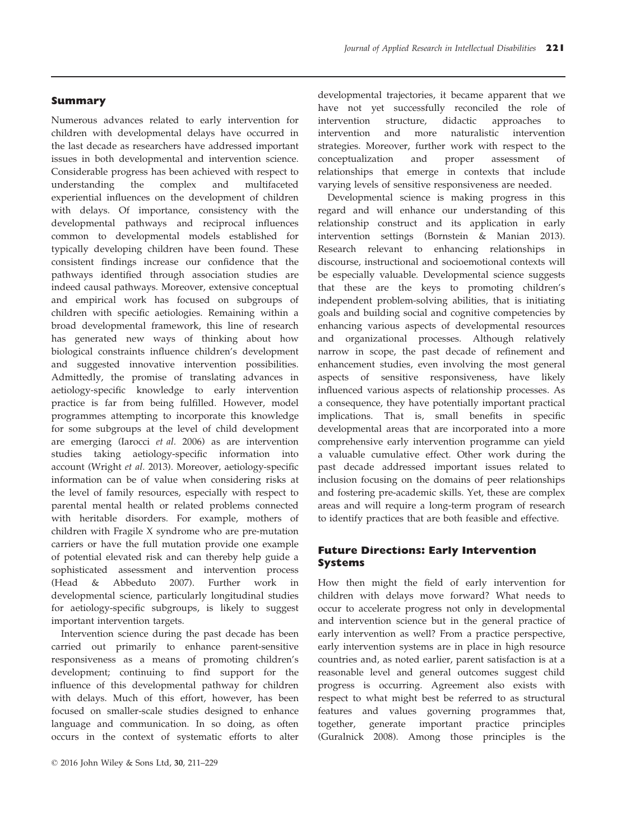Numerous advances related to early intervention for children with developmental delays have occurred in the last decade as researchers have addressed important issues in both developmental and intervention science. Considerable progress has been achieved with respect to understanding the complex and multifaceted experiential influences on the development of children with delays. Of importance, consistency with the developmental pathways and reciprocal influences common to developmental models established for typically developing children have been found. These consistent findings increase our confidence that the pathways identified through association studies are indeed causal pathways. Moreover, extensive conceptual and empirical work has focused on subgroups of children with specific aetiologies. Remaining within a broad developmental framework, this line of research has generated new ways of thinking about how biological constraints influence children's development and suggested innovative intervention possibilities. Admittedly, the promise of translating advances in aetiology-specific knowledge to early intervention practice is far from being fulfilled. However, model programmes attempting to incorporate this knowledge for some subgroups at the level of child development are emerging (Iarocci et al. 2006) as are intervention studies taking aetiology-specific information into account (Wright et al. 2013). Moreover, aetiology-specific information can be of value when considering risks at the level of family resources, especially with respect to parental mental health or related problems connected with heritable disorders. For example, mothers of children with Fragile X syndrome who are pre-mutation carriers or have the full mutation provide one example of potential elevated risk and can thereby help guide a sophisticated assessment and intervention process (Head & Abbeduto 2007). Further work in developmental science, particularly longitudinal studies for aetiology-specific subgroups, is likely to suggest important intervention targets.

Intervention science during the past decade has been carried out primarily to enhance parent-sensitive responsiveness as a means of promoting children's development; continuing to find support for the influence of this developmental pathway for children with delays. Much of this effort, however, has been focused on smaller-scale studies designed to enhance language and communication. In so doing, as often occurs in the context of systematic efforts to alter developmental trajectories, it became apparent that we have not yet successfully reconciled the role of intervention structure, didactic approaches to intervention and more naturalistic intervention strategies. Moreover, further work with respect to the conceptualization and proper assessment relationships that emerge in contexts that include varying levels of sensitive responsiveness are needed.

Developmental science is making progress in this regard and will enhance our understanding of this relationship construct and its application in early intervention settings (Bornstein & Manian 2013). Research relevant to enhancing relationships in discourse, instructional and socioemotional contexts will be especially valuable. Developmental science suggests that these are the keys to promoting children's independent problem-solving abilities, that is initiating goals and building social and cognitive competencies by enhancing various aspects of developmental resources and organizational processes. Although relatively narrow in scope, the past decade of refinement and enhancement studies, even involving the most general aspects of sensitive responsiveness, have likely influenced various aspects of relationship processes. As a consequence, they have potentially important practical implications. That is, small benefits in specific developmental areas that are incorporated into a more comprehensive early intervention programme can yield a valuable cumulative effect. Other work during the past decade addressed important issues related to inclusion focusing on the domains of peer relationships and fostering pre-academic skills. Yet, these are complex areas and will require a long-term program of research to identify practices that are both feasible and effective.

# Future Directions: Early Intervention Systems

How then might the field of early intervention for children with delays move forward? What needs to occur to accelerate progress not only in developmental and intervention science but in the general practice of early intervention as well? From a practice perspective, early intervention systems are in place in high resource countries and, as noted earlier, parent satisfaction is at a reasonable level and general outcomes suggest child progress is occurring. Agreement also exists with respect to what might best be referred to as structural features and values governing programmes that, together, generate important practice principles (Guralnick 2008). Among those principles is the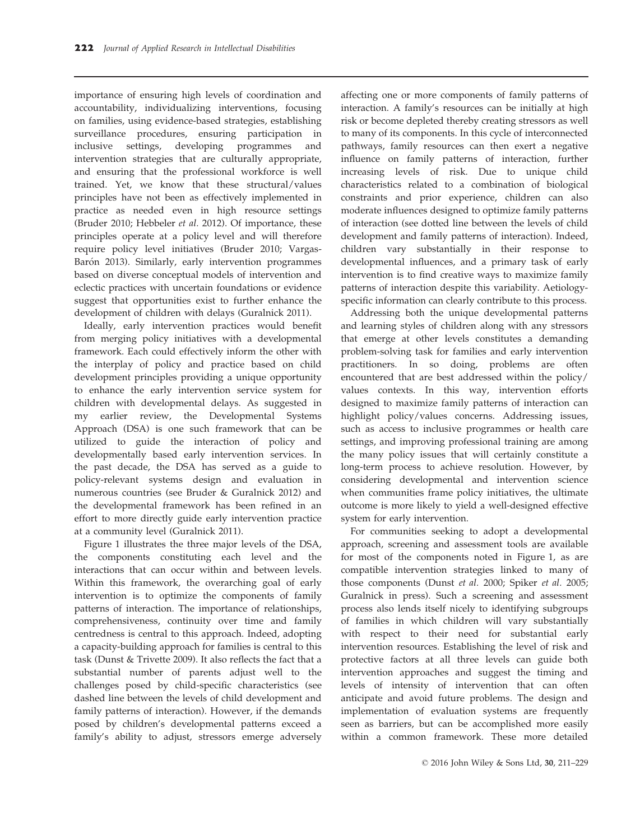importance of ensuring high levels of coordination and accountability, individualizing interventions, focusing on families, using evidence-based strategies, establishing surveillance procedures, ensuring participation in inclusive settings, developing programmes and intervention strategies that are culturally appropriate, and ensuring that the professional workforce is well trained. Yet, we know that these structural/values principles have not been as effectively implemented in practice as needed even in high resource settings (Bruder 2010; Hebbeler et al. 2012). Of importance, these principles operate at a policy level and will therefore require policy level initiatives (Bruder 2010; Vargas-Barón 2013). Similarly, early intervention programmes based on diverse conceptual models of intervention and eclectic practices with uncertain foundations or evidence suggest that opportunities exist to further enhance the development of children with delays (Guralnick 2011).

Ideally, early intervention practices would benefit from merging policy initiatives with a developmental framework. Each could effectively inform the other with the interplay of policy and practice based on child development principles providing a unique opportunity to enhance the early intervention service system for children with developmental delays. As suggested in my earlier review, the Developmental Systems Approach (DSA) is one such framework that can be utilized to guide the interaction of policy and developmentally based early intervention services. In the past decade, the DSA has served as a guide to policy-relevant systems design and evaluation in numerous countries (see Bruder & Guralnick 2012) and the developmental framework has been refined in an effort to more directly guide early intervention practice at a community level (Guralnick 2011).

Figure 1 illustrates the three major levels of the DSA, the components constituting each level and the interactions that can occur within and between levels. Within this framework, the overarching goal of early intervention is to optimize the components of family patterns of interaction. The importance of relationships, comprehensiveness, continuity over time and family centredness is central to this approach. Indeed, adopting a capacity-building approach for families is central to this task (Dunst & Trivette 2009). It also reflects the fact that a substantial number of parents adjust well to the challenges posed by child-specific characteristics (see dashed line between the levels of child development and family patterns of interaction). However, if the demands posed by children's developmental patterns exceed a family's ability to adjust, stressors emerge adversely

affecting one or more components of family patterns of interaction. A family's resources can be initially at high risk or become depleted thereby creating stressors as well to many of its components. In this cycle of interconnected pathways, family resources can then exert a negative influence on family patterns of interaction, further increasing levels of risk. Due to unique child characteristics related to a combination of biological constraints and prior experience, children can also moderate influences designed to optimize family patterns of interaction (see dotted line between the levels of child development and family patterns of interaction). Indeed, children vary substantially in their response to developmental influences, and a primary task of early intervention is to find creative ways to maximize family patterns of interaction despite this variability. Aetiologyspecific information can clearly contribute to this process.

Addressing both the unique developmental patterns and learning styles of children along with any stressors that emerge at other levels constitutes a demanding problem-solving task for families and early intervention practitioners. In so doing, problems are often encountered that are best addressed within the policy/ values contexts. In this way, intervention efforts designed to maximize family patterns of interaction can highlight policy/values concerns. Addressing issues, such as access to inclusive programmes or health care settings, and improving professional training are among the many policy issues that will certainly constitute a long-term process to achieve resolution. However, by considering developmental and intervention science when communities frame policy initiatives, the ultimate outcome is more likely to yield a well-designed effective system for early intervention.

For communities seeking to adopt a developmental approach, screening and assessment tools are available for most of the components noted in Figure 1, as are compatible intervention strategies linked to many of those components (Dunst et al. 2000; Spiker et al. 2005; Guralnick in press). Such a screening and assessment process also lends itself nicely to identifying subgroups of families in which children will vary substantially with respect to their need for substantial early intervention resources. Establishing the level of risk and protective factors at all three levels can guide both intervention approaches and suggest the timing and levels of intensity of intervention that can often anticipate and avoid future problems. The design and implementation of evaluation systems are frequently seen as barriers, but can be accomplished more easily within a common framework. These more detailed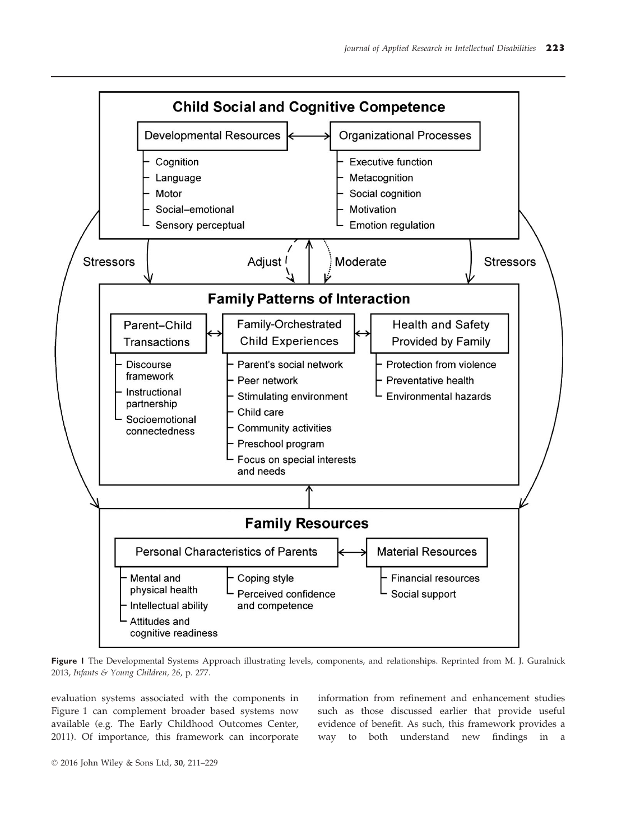

Figure 1 The Developmental Systems Approach illustrating levels, components, and relationships. Reprinted from M. J. Guralnick 2013, Infants & Young Children, 26, p. 277.

evaluation systems associated with the components in Figure 1 can complement broader based systems now available (e.g. The Early Childhood Outcomes Center, 2011). Of importance, this framework can incorporate

information from refinement and enhancement studies such as those discussed earlier that provide useful evidence of benefit. As such, this framework provides a way to both understand new findings in a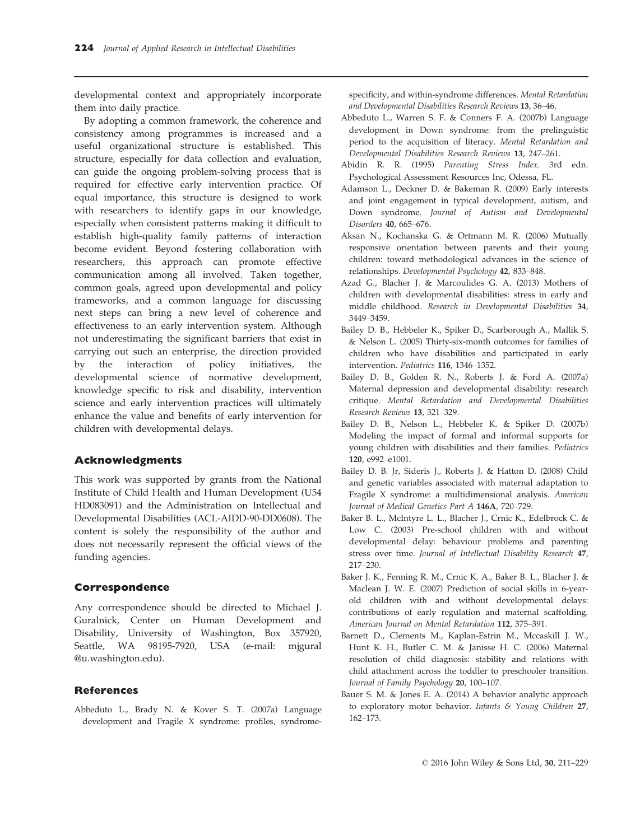developmental context and appropriately incorporate them into daily practice.

By adopting a common framework, the coherence and consistency among programmes is increased and a useful organizational structure is established. This structure, especially for data collection and evaluation, can guide the ongoing problem-solving process that is required for effective early intervention practice. Of equal importance, this structure is designed to work with researchers to identify gaps in our knowledge, especially when consistent patterns making it difficult to establish high-quality family patterns of interaction become evident. Beyond fostering collaboration with researchers, this approach can promote effective communication among all involved. Taken together, common goals, agreed upon developmental and policy frameworks, and a common language for discussing next steps can bring a new level of coherence and effectiveness to an early intervention system. Although not underestimating the significant barriers that exist in carrying out such an enterprise, the direction provided by the interaction of policy initiatives, the developmental science of normative development, knowledge specific to risk and disability, intervention science and early intervention practices will ultimately enhance the value and benefits of early intervention for children with developmental delays.

#### Acknowledgments

This work was supported by grants from the National Institute of Child Health and Human Development (U54 HD083091) and the Administration on Intellectual and Developmental Disabilities (ACL-AIDD-90-DD0608). The content is solely the responsibility of the author and does not necessarily represent the official views of the funding agencies.

#### Correspondence

Any correspondence should be directed to Michael J. Guralnick, Center on Human Development and Disability, University of Washington, Box 357920, Seattle, WA 98195-7920, USA (e-mail: mjgural @u.washington.edu).

## **References**

Abbeduto L., Brady N. & Kover S. T. (2007a) Language development and Fragile X syndrome: profiles, syndrome-

specificity, and within-syndrome differences. Mental Retardation and Developmental Disabilities Research Reviews 13, 36–46.

- Abbeduto L., Warren S. F. & Conners F. A. (2007b) Language development in Down syndrome: from the prelinguistic period to the acquisition of literacy. Mental Retardation and Developmental Disabilities Research Reviews 13, 247–261.
- Abidin R. R. (1995) Parenting Stress Index. 3rd edn. Psychological Assessment Resources Inc, Odessa, FL.
- Adamson L., Deckner D. & Bakeman R. (2009) Early interests and joint engagement in typical development, autism, and Down syndrome. Journal of Autism and Developmental Disorders 40, 665–676.
- Aksan N., Kochanska G. & Ortmann M. R. (2006) Mutually responsive orientation between parents and their young children: toward methodological advances in the science of relationships. Developmental Psychology 42, 833–848.
- Azad G., Blacher J. & Marcoulides G. A. (2013) Mothers of children with developmental disabilities: stress in early and middle childhood. Research in Developmental Disabilities 34, 3449–3459.
- Bailey D. B., Hebbeler K., Spiker D., Scarborough A., Mallik S. & Nelson L. (2005) Thirty-six-month outcomes for families of children who have disabilities and participated in early intervention. Pediatrics 116, 1346–1352.
- Bailey D. B., Golden R. N., Roberts J. & Ford A. (2007a) Maternal depression and developmental disability: research critique. Mental Retardation and Developmental Disabilities Research Reviews 13, 321–329.
- Bailey D. B., Nelson L., Hebbeler K. & Spiker D. (2007b) Modeling the impact of formal and informal supports for young children with disabilities and their families. Pediatrics 120, e992–e1001.
- Bailey D. B. Jr, Sideris J., Roberts J. & Hatton D. (2008) Child and genetic variables associated with maternal adaptation to Fragile X syndrome: a multidimensional analysis. American Journal of Medical Genetics Part A 146A, 720–729.
- Baker B. L., McIntyre L. L., Blacher J., Crnic K., Edelbrock C. & Low C. (2003) Pre-school children with and without developmental delay: behaviour problems and parenting stress over time. Journal of Intellectual Disability Research 47, 217–230.
- Baker J. K., Fenning R. M., Crnic K. A., Baker B. L., Blacher J. & Maclean J. W. E. (2007) Prediction of social skills in 6-yearold children with and without developmental delays: contributions of early regulation and maternal scaffolding. American Journal on Mental Retardation 112, 375–391.
- Barnett D., Clements M., Kaplan-Estrin M., Mccaskill J. W., Hunt K. H., Butler C. M. & Janisse H. C. (2006) Maternal resolution of child diagnosis: stability and relations with child attachment across the toddler to preschooler transition. Journal of Family Psychology 20, 100–107.
- Bauer S. M. & Jones E. A. (2014) A behavior analytic approach to exploratory motor behavior. Infants & Young Children 27, 162–173.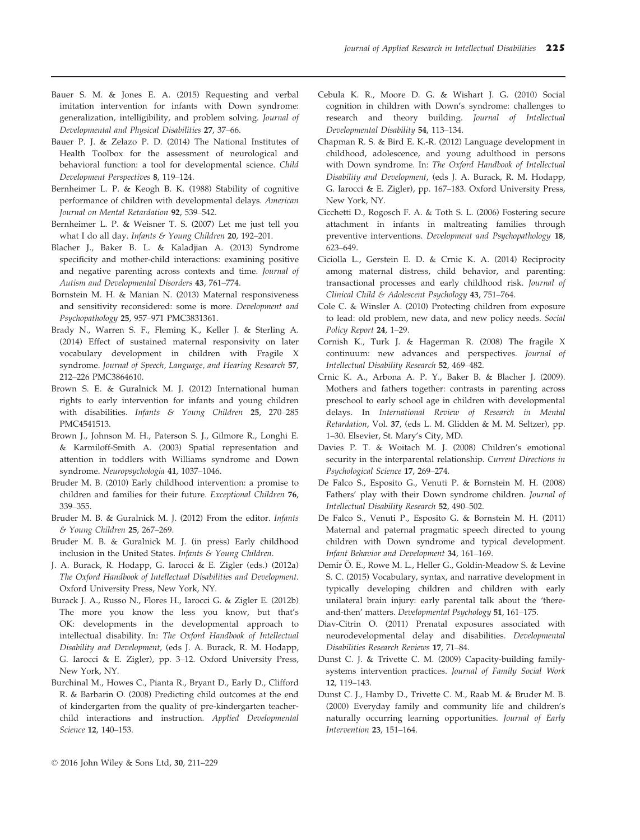- Bauer S. M. & Jones E. A. (2015) Requesting and verbal imitation intervention for infants with Down syndrome: generalization, intelligibility, and problem solving. Journal of Developmental and Physical Disabilities 27, 37–66.
- Bauer P. J. & Zelazo P. D. (2014) The National Institutes of Health Toolbox for the assessment of neurological and behavioral function: a tool for developmental science. Child Development Perspectives 8, 119–124.
- Bernheimer L. P. & Keogh B. K. (1988) Stability of cognitive performance of children with developmental delays. American Journal on Mental Retardation 92, 539–542.
- Bernheimer L. P. & Weisner T. S. (2007) Let me just tell you what I do all day. Infants & Young Children 20, 192-201.
- Blacher J., Baker B. L. & Kaladjian A. (2013) Syndrome specificity and mother-child interactions: examining positive and negative parenting across contexts and time. Journal of Autism and Developmental Disorders 43, 761–774.
- Bornstein M. H. & Manian N. (2013) Maternal responsiveness and sensitivity reconsidered: some is more. Development and Psychopathology 25, 957–971 PMC3831361.
- Brady N., Warren S. F., Fleming K., Keller J. & Sterling A. (2014) Effect of sustained maternal responsivity on later vocabulary development in children with Fragile X syndrome. Journal of Speech, Language, and Hearing Research 57, 212–226 PMC3864610.
- Brown S. E. & Guralnick M. J. (2012) International human rights to early intervention for infants and young children with disabilities. Infants & Young Children 25, 270–285 PMC4541513.
- Brown J., Johnson M. H., Paterson S. J., Gilmore R., Longhi E. & Karmiloff-Smith A. (2003) Spatial representation and attention in toddlers with Williams syndrome and Down syndrome. Neuropsychologia 41, 1037–1046.
- Bruder M. B. (2010) Early childhood intervention: a promise to children and families for their future. Exceptional Children 76, 339–355.
- Bruder M. B. & Guralnick M. J. (2012) From the editor. Infants & Young Children 25, 267–269.
- Bruder M. B. & Guralnick M. J. (in press) Early childhood inclusion in the United States. Infants & Young Children.
- J. A. Burack, R. Hodapp, G. Iarocci & E. Zigler (eds.) (2012a) The Oxford Handbook of Intellectual Disabilities and Development. Oxford University Press, New York, NY.
- Burack J. A., Russo N., Flores H., Iarocci G. & Zigler E. (2012b) The more you know the less you know, but that's OK: developments in the developmental approach to intellectual disability. In: The Oxford Handbook of Intellectual Disability and Development, (eds J. A. Burack, R. M. Hodapp, G. Iarocci & E. Zigler), pp. 3–12. Oxford University Press, New York, NY.
- Burchinal M., Howes C., Pianta R., Bryant D., Early D., Clifford R. & Barbarin O. (2008) Predicting child outcomes at the end of kindergarten from the quality of pre-kindergarten teacherchild interactions and instruction. Applied Developmental Science 12, 140–153.
- Cebula K. R., Moore D. G. & Wishart J. G. (2010) Social cognition in children with Down's syndrome: challenges to research and theory building. Journal of Intellectual Developmental Disability 54, 113–134.
- Chapman R. S. & Bird E. K.-R. (2012) Language development in childhood, adolescence, and young adulthood in persons with Down syndrome. In: The Oxford Handbook of Intellectual Disability and Development, (eds J. A. Burack, R. M. Hodapp, G. Iarocci & E. Zigler), pp. 167–183. Oxford University Press, New York, NY.
- Cicchetti D., Rogosch F. A. & Toth S. L. (2006) Fostering secure attachment in infants in maltreating families through preventive interventions. Development and Psychopathology 18, 623–649.
- Ciciolla L., Gerstein E. D. & Crnic K. A. (2014) Reciprocity among maternal distress, child behavior, and parenting: transactional processes and early childhood risk. Journal of Clinical Child & Adolescent Psychology 43, 751–764.
- Cole C. & Winsler A. (2010) Protecting children from exposure to lead: old problem, new data, and new policy needs. Social Policy Report 24, 1–29.
- Cornish K., Turk J. & Hagerman R. (2008) The fragile X continuum: new advances and perspectives. Journal of Intellectual Disability Research 52, 469–482.
- Crnic K. A., Arbona A. P. Y., Baker B. & Blacher J. (2009). Mothers and fathers together: contrasts in parenting across preschool to early school age in children with developmental delays. In International Review of Research in Mental Retardation, Vol. 37, (eds L. M. Glidden & M. M. Seltzer), pp. 1–30. Elsevier, St. Mary's City, MD.
- Davies P. T. & Woitach M. J. (2008) Children's emotional security in the interparental relationship. Current Directions in Psychological Science 17, 269–274.
- De Falco S., Esposito G., Venuti P. & Bornstein M. H. (2008) Fathers' play with their Down syndrome children. Journal of Intellectual Disability Research 52, 490–502.
- De Falco S., Venuti P., Esposito G. & Bornstein M. H. (2011) Maternal and paternal pragmatic speech directed to young children with Down syndrome and typical development. Infant Behavior and Development 34, 161–169.
- Demir Ö. E., Rowe M. L., Heller G., Goldin-Meadow S. & Levine S. C. (2015) Vocabulary, syntax, and narrative development in typically developing children and children with early unilateral brain injury: early parental talk about the 'thereand-then' matters. Developmental Psychology 51, 161–175.
- Diav-Citrin O. (2011) Prenatal exposures associated with neurodevelopmental delay and disabilities. Developmental Disabilities Research Reviews 17, 71–84.
- Dunst C. J. & Trivette C. M. (2009) Capacity-building familysystems intervention practices. Journal of Family Social Work 12, 119–143.
- Dunst C. J., Hamby D., Trivette C. M., Raab M. & Bruder M. B. (2000) Everyday family and community life and children's naturally occurring learning opportunities. Journal of Early Intervention 23, 151–164.

© 2016 John Wiley & Sons Ltd, 30, 211–229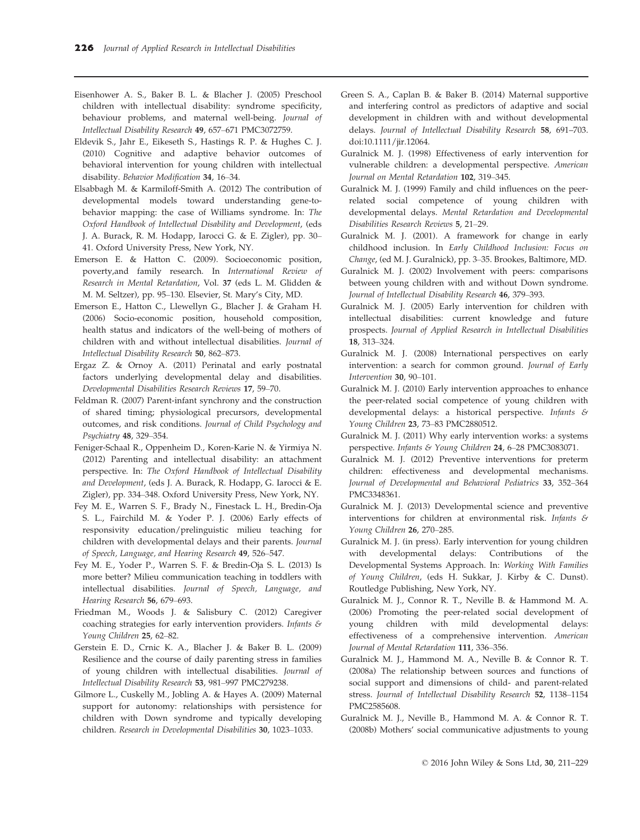- Eisenhower A. S., Baker B. L. & Blacher J. (2005) Preschool children with intellectual disability: syndrome specificity, behaviour problems, and maternal well-being. Journal of Intellectual Disability Research 49, 657–671 PMC3072759.
- Eldevik S., Jahr E., Eikeseth S., Hastings R. P. & Hughes C. J. (2010) Cognitive and adaptive behavior outcomes of behavioral intervention for young children with intellectual disability. Behavior Modification 34, 16–34.
- Elsabbagh M. & Karmiloff-Smith A. (2012) The contribution of developmental models toward understanding gene-tobehavior mapping: the case of Williams syndrome. In: The Oxford Handbook of Intellectual Disability and Development, (eds J. A. Burack, R. M. Hodapp, Iarocci G. & E. Zigler), pp. 30– 41. Oxford University Press, New York, NY.
- Emerson E. & Hatton C. (2009). Socioeconomic position, poverty,and family research. In International Review of Research in Mental Retardation, Vol. 37 (eds L. M. Glidden & M. M. Seltzer), pp. 95–130. Elsevier, St. Mary's City, MD.
- Emerson E., Hatton C., Llewellyn G., Blacher J. & Graham H. (2006) Socio-economic position, household composition, health status and indicators of the well-being of mothers of children with and without intellectual disabilities. Journal of Intellectual Disability Research 50, 862–873.
- Ergaz Z. & Ornoy A. (2011) Perinatal and early postnatal factors underlying developmental delay and disabilities. Developmental Disabilities Research Reviews 17, 59–70.
- Feldman R. (2007) Parent-infant synchrony and the construction of shared timing; physiological precursors, developmental outcomes, and risk conditions. Journal of Child Psychology and Psychiatry 48, 329–354.
- Feniger-Schaal R., Oppenheim D., Koren-Karie N. & Yirmiya N. (2012) Parenting and intellectual disability: an attachment perspective. In: The Oxford Handbook of Intellectual Disability and Development, (eds J. A. Burack, R. Hodapp, G. Iarocci & E. Zigler), pp. 334–348. Oxford University Press, New York, NY.
- Fey M. E., Warren S. F., Brady N., Finestack L. H., Bredin-Oja S. L., Fairchild M. & Yoder P. J. (2006) Early effects of responsivity education/prelinguistic milieu teaching for children with developmental delays and their parents. Journal of Speech, Language, and Hearing Research 49, 526–547.
- Fey M. E., Yoder P., Warren S. F. & Bredin-Oja S. L. (2013) Is more better? Milieu communication teaching in toddlers with intellectual disabilities. Journal of Speech, Language, and Hearing Research 56, 679–693.
- Friedman M., Woods J. & Salisbury C. (2012) Caregiver coaching strategies for early intervention providers. Infants & Young Children 25, 62–82.
- Gerstein E. D., Crnic K. A., Blacher J. & Baker B. L. (2009) Resilience and the course of daily parenting stress in families of young children with intellectual disabilities. Journal of Intellectual Disability Research 53, 981–997 PMC279238.
- Gilmore L., Cuskelly M., Jobling A. & Hayes A. (2009) Maternal support for autonomy: relationships with persistence for children with Down syndrome and typically developing children. Research in Developmental Disabilities 30, 1023–1033.
- Green S. A., Caplan B. & Baker B. (2014) Maternal supportive and interfering control as predictors of adaptive and social development in children with and without developmental delays. Journal of Intellectual Disability Research 58, 691–703. doi[:10.1111/jir.12064](http://dx.doi.org/10.1111/jir.12064).
- Guralnick M. J. (1998) Effectiveness of early intervention for vulnerable children: a developmental perspective. American Journal on Mental Retardation 102, 319–345.
- Guralnick M. J. (1999) Family and child influences on the peerrelated social competence of young children with developmental delays. Mental Retardation and Developmental Disabilities Research Reviews 5, 21–29.
- Guralnick M. J. (2001). A framework for change in early childhood inclusion. In Early Childhood Inclusion: Focus on Change, (ed M. J. Guralnick), pp. 3–35. Brookes, Baltimore, MD.
- Guralnick M. J. (2002) Involvement with peers: comparisons between young children with and without Down syndrome. Journal of Intellectual Disability Research 46, 379–393.
- Guralnick M. J. (2005) Early intervention for children with intellectual disabilities: current knowledge and future prospects. Journal of Applied Research in Intellectual Disabilities 18, 313–324.
- Guralnick M. J. (2008) International perspectives on early intervention: a search for common ground. Journal of Early Intervention 30, 90–101.
- Guralnick M. J. (2010) Early intervention approaches to enhance the peer-related social competence of young children with developmental delays: a historical perspective. Infants & Young Children 23, 73–83 PMC2880512.
- Guralnick M. J. (2011) Why early intervention works: a systems perspective. Infants & Young Children 24, 6-28 PMC3083071.
- Guralnick M. J. (2012) Preventive interventions for preterm children: effectiveness and developmental mechanisms. Journal of Developmental and Behavioral Pediatrics 33, 352–364 PMC3348361.
- Guralnick M. J. (2013) Developmental science and preventive interventions for children at environmental risk. Infants & Young Children 26, 270–285.
- Guralnick M. J. (in press). Early intervention for young children with developmental delays: Contributions of the Developmental Systems Approach. In: Working With Families of Young Children, (eds H. Sukkar, J. Kirby & C. Dunst). Routledge Publishing, New York, NY.
- Guralnick M. J., Connor R. T., Neville B. & Hammond M. A. (2006) Promoting the peer-related social development of young children with mild developmental delays: effectiveness of a comprehensive intervention. American Journal of Mental Retardation 111, 336–356.
- Guralnick M. J., Hammond M. A., Neville B. & Connor R. T. (2008a) The relationship between sources and functions of social support and dimensions of child- and parent-related stress. Journal of Intellectual Disability Research 52, 1138–1154 PMC2585608.
- Guralnick M. J., Neville B., Hammond M. A. & Connor R. T. (2008b) Mothers' social communicative adjustments to young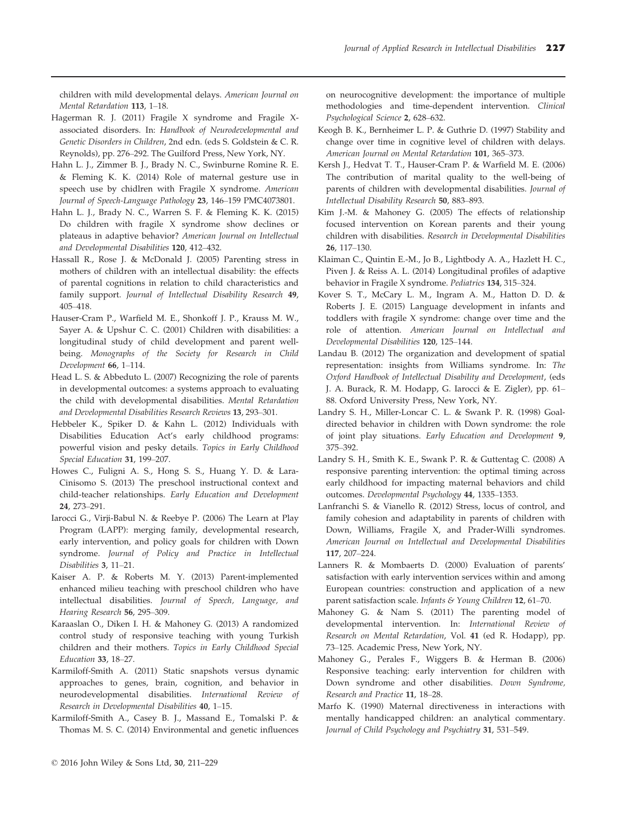children with mild developmental delays. American Journal on Mental Retardation 113, 1–18.

- Hagerman R. J. (2011) Fragile X syndrome and Fragile Xassociated disorders. In: Handbook of Neurodevelopmental and Genetic Disorders in Children, 2nd edn. (eds S. Goldstein & C. R. Reynolds), pp. 276–292. The Guilford Press, New York, NY.
- Hahn L. J., Zimmer B. J., Brady N. C., Swinburne Romine R. E. & Fleming K. K. (2014) Role of maternal gesture use in speech use by chidlren with Fragile X syndrome. American Journal of Speech-Language Pathology 23, 146–159 PMC4073801.
- Hahn L. J., Brady N. C., Warren S. F. & Fleming K. K. (2015) Do children with fragile X syndrome show declines or plateaus in adaptive behavior? American Journal on Intellectual and Developmental Disabilities 120, 412–432.
- Hassall R., Rose J. & McDonald J. (2005) Parenting stress in mothers of children with an intellectual disability: the effects of parental cognitions in relation to child characteristics and family support. Journal of Intellectual Disability Research 49, 405–418.
- Hauser-Cram P., Warfield M. E., Shonkoff J. P., Krauss M. W., Sayer A. & Upshur C. C. (2001) Children with disabilities: a longitudinal study of child development and parent wellbeing. Monographs of the Society for Research in Child Development 66, 1–114.
- Head L. S. & Abbeduto L. (2007) Recognizing the role of parents in developmental outcomes: a systems approach to evaluating the child with developmental disabilities. Mental Retardation and Developmental Disabilities Research Reviews 13, 293–301.
- Hebbeler K., Spiker D. & Kahn L. (2012) Individuals with Disabilities Education Act's early childhood programs: powerful vision and pesky details. Topics in Early Childhood Special Education 31, 199–207.
- Howes C., Fuligni A. S., Hong S. S., Huang Y. D. & Lara-Cinisomo S. (2013) The preschool instructional context and child-teacher relationships. Early Education and Development 24, 273–291.
- Iarocci G., Virji-Babul N. & Reebye P. (2006) The Learn at Play Program (LAPP): merging family, developmental research, early intervention, and policy goals for children with Down syndrome. Journal of Policy and Practice in Intellectual Disabilities 3, 11–21.
- Kaiser A. P. & Roberts M. Y. (2013) Parent-implemented enhanced milieu teaching with preschool children who have intellectual disabilities. Journal of Speech, Language, and Hearing Research 56, 295–309.
- Karaaslan O., Diken I. H. & Mahoney G. (2013) A randomized control study of responsive teaching with young Turkish children and their mothers. Topics in Early Childhood Special Education 33, 18–27.
- Karmiloff-Smith A. (2011) Static snapshots versus dynamic approaches to genes, brain, cognition, and behavior in neurodevelopmental disabilities. International Review of Research in Developmental Disabilities 40, 1–15.
- Karmiloff-Smith A., Casey B. J., Massand E., Tomalski P. & Thomas M. S. C. (2014) Environmental and genetic influences

on neurocognitive development: the importance of multiple methodologies and time-dependent intervention. Clinical Psychological Science 2, 628–632.

- Keogh B. K., Bernheimer L. P. & Guthrie D. (1997) Stability and change over time in cognitive level of children with delays. American Journal on Mental Retardation 101, 365–373.
- Kersh J., Hedvat T. T., Hauser-Cram P. & Warfield M. E. (2006) The contribution of marital quality to the well-being of parents of children with developmental disabilities. Journal of Intellectual Disability Research 50, 883–893.
- Kim J.-M. & Mahoney G. (2005) The effects of relationship focused intervention on Korean parents and their young children with disabilities. Research in Developmental Disabilities 26, 117–130.
- Klaiman C., Quintin E.-M., Jo B., Lightbody A. A., Hazlett H. C., Piven J. & Reiss A. L. (2014) Longitudinal profiles of adaptive behavior in Fragile X syndrome. Pediatrics 134, 315–324.
- Kover S. T., McCary L. M., Ingram A. M., Hatton D. D. & Roberts J. E. (2015) Language development in infants and toddlers with fragile X syndrome: change over time and the role of attention. American Journal on Intellectual and Developmental Disabilities 120, 125–144.
- Landau B. (2012) The organization and development of spatial representation: insights from Williams syndrome. In: The Oxford Handbook of Intellectual Disability and Development, (eds J. A. Burack, R. M. Hodapp, G. Iarocci & E. Zigler), pp. 61– 88. Oxford University Press, New York, NY.
- Landry S. H., Miller-Loncar C. L. & Swank P. R. (1998) Goaldirected behavior in children with Down syndrome: the role of joint play situations. Early Education and Development 9, 375–392.
- Landry S. H., Smith K. E., Swank P. R. & Guttentag C. (2008) A responsive parenting intervention: the optimal timing across early childhood for impacting maternal behaviors and child outcomes. Developmental Psychology 44, 1335–1353.
- Lanfranchi S. & Vianello R. (2012) Stress, locus of control, and family cohesion and adaptability in parents of children with Down, Williams, Fragile X, and Prader-Willi syndromes. American Journal on Intellectual and Developmental Disabilities 117, 207–224.
- Lanners R. & Mombaerts D. (2000) Evaluation of parents' satisfaction with early intervention services within and among European countries: construction and application of a new parent satisfaction scale. Infants & Young Children 12, 61-70.
- Mahoney G. & Nam S. (2011) The parenting model of developmental intervention. In: International Review of Research on Mental Retardation, Vol. 41 (ed R. Hodapp), pp. 73–125. Academic Press, New York, NY.
- Mahoney G., Perales F., Wiggers B. & Herman B. (2006) Responsive teaching: early intervention for children with Down syndrome and other disabilities. Down Syndrome, Research and Practice 11, 18–28.
- Marfo K. (1990) Maternal directiveness in interactions with mentally handicapped children: an analytical commentary. Journal of Child Psychology and Psychiatry 31, 531–549.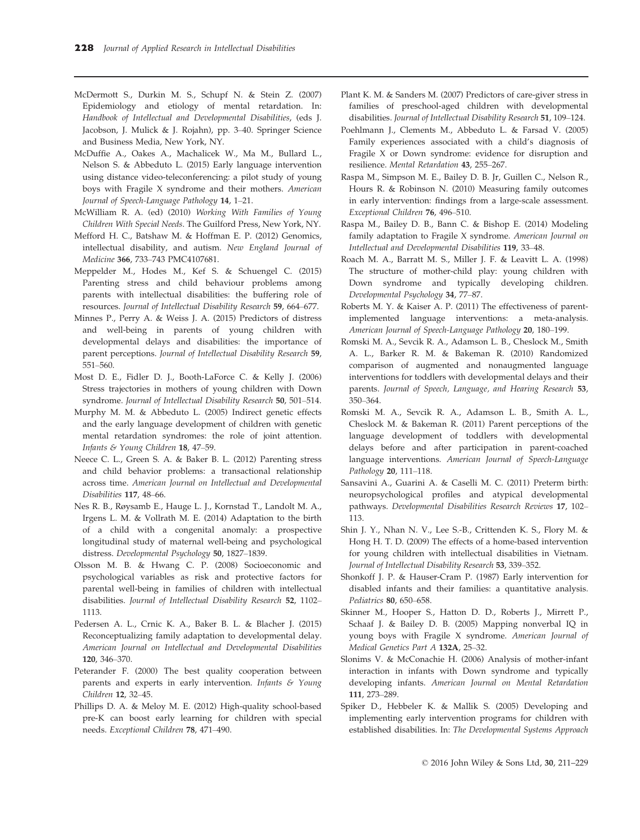- McDermott S., Durkin M. S., Schupf N. & Stein Z. (2007) Epidemiology and etiology of mental retardation. In: Handbook of Intellectual and Developmental Disabilities, (eds J. Jacobson, J. Mulick & J. Rojahn), pp. 3–40. Springer Science and Business Media, New York, NY.
- McDuffie A., Oakes A., Machalicek W., Ma M., Bullard L., Nelson S. & Abbeduto L. (2015) Early language intervention using distance video-teleconferencing: a pilot study of young boys with Fragile X syndrome and their mothers. American Journal of Speech-Language Pathology 14, 1–21.
- McWilliam R. A. (ed) (2010) Working With Families of Young Children With Special Needs. The Guilford Press, New York, NY.
- Mefford H. C., Batshaw M. & Hoffman E. P. (2012) Genomics, intellectual disability, and autism. New England Journal of Medicine 366, 733–743 PMC4107681.
- Meppelder M., Hodes M., Kef S. & Schuengel C. (2015) Parenting stress and child behaviour problems among parents with intellectual disabilities: the buffering role of resources. Journal of Intellectual Disability Research 59, 664–677.
- Minnes P., Perry A. & Weiss J. A. (2015) Predictors of distress and well-being in parents of young children with developmental delays and disabilities: the importance of parent perceptions. Journal of Intellectual Disability Research 59, 551–560.
- Most D. E., Fidler D. J., Booth-LaForce C. & Kelly J. (2006) Stress trajectories in mothers of young children with Down syndrome. Journal of Intellectual Disability Research 50, 501–514.
- Murphy M. M. & Abbeduto L. (2005) Indirect genetic effects and the early language development of children with genetic mental retardation syndromes: the role of joint attention. Infants & Young Children 18, 47–59.
- Neece C. L., Green S. A. & Baker B. L. (2012) Parenting stress and child behavior problems: a transactional relationship across time. American Journal on Intellectual and Developmental Disabilities 117, 48–66.
- Nes R. B., Røysamb E., Hauge L. J., Kornstad T., Landolt M. A., Irgens L. M. & Vollrath M. E. (2014) Adaptation to the birth of a child with a congenital anomaly: a prospective longitudinal study of maternal well-being and psychological distress. Developmental Psychology 50, 1827–1839.
- Olsson M. B. & Hwang C. P. (2008) Socioeconomic and psychological variables as risk and protective factors for parental well-being in families of children with intellectual disabilities. Journal of Intellectual Disability Research 52, 1102– 1113.
- Pedersen A. L., Crnic K. A., Baker B. L. & Blacher J. (2015) Reconceptualizing family adaptation to developmental delay. American Journal on Intellectual and Developmental Disabilities 120, 346–370.
- Peterander F. (2000) The best quality cooperation between parents and experts in early intervention. Infants  $&$  Young Children 12, 32–45.
- Phillips D. A. & Meloy M. E. (2012) High-quality school-based pre-K can boost early learning for children with special needs. Exceptional Children 78, 471–490.
- Plant K. M. & Sanders M. (2007) Predictors of care-giver stress in families of preschool-aged children with developmental disabilities. Journal of Intellectual Disability Research 51, 109–124.
- Poehlmann J., Clements M., Abbeduto L. & Farsad V. (2005) Family experiences associated with a child's diagnosis of Fragile X or Down syndrome: evidence for disruption and resilience. Mental Retardation 43, 255–267.
- Raspa M., Simpson M. E., Bailey D. B. Jr, Guillen C., Nelson R., Hours R. & Robinson N. (2010) Measuring family outcomes in early intervention: findings from a large-scale assessment. Exceptional Children 76, 496–510.
- Raspa M., Bailey D. B., Bann C. & Bishop E. (2014) Modeling family adaptation to Fragile X syndrome. American Journal on Intellectual and Developmental Disabilities 119, 33–48.
- Roach M. A., Barratt M. S., Miller J. F. & Leavitt L. A. (1998) The structure of mother-child play: young children with Down syndrome and typically developing children. Developmental Psychology 34, 77–87.
- Roberts M. Y. & Kaiser A. P. (2011) The effectiveness of parentimplemented language interventions: a meta-analysis. American Journal of Speech-Language Pathology 20, 180-199.
- Romski M. A., Sevcik R. A., Adamson L. B., Cheslock M., Smith A. L., Barker R. M. & Bakeman R. (2010) Randomized comparison of augmented and nonaugmented language interventions for toddlers with developmental delays and their parents. Journal of Speech, Language, and Hearing Research 53, 350–364.
- Romski M. A., Sevcik R. A., Adamson L. B., Smith A. L., Cheslock M. & Bakeman R. (2011) Parent perceptions of the language development of toddlers with developmental delays before and after participation in parent-coached language interventions. American Journal of Speech-Language Pathology 20, 111–118.
- Sansavini A., Guarini A. & Caselli M. C. (2011) Preterm birth: neuropsychological profiles and atypical developmental pathways. Developmental Disabilities Research Reviews 17, 102– 113.
- Shin J. Y., Nhan N. V., Lee S.-B., Crittenden K. S., Flory M. & Hong H. T. D. (2009) The effects of a home-based intervention for young children with intellectual disabilities in Vietnam. Journal of Intellectual Disability Research 53, 339–352.
- Shonkoff J. P. & Hauser-Cram P. (1987) Early intervention for disabled infants and their families: a quantitative analysis. Pediatrics 80, 650–658.
- Skinner M., Hooper S., Hatton D. D., Roberts J., Mirrett P., Schaaf J. & Bailey D. B. (2005) Mapping nonverbal IQ in young boys with Fragile X syndrome. American Journal of Medical Genetics Part A 132A, 25–32.
- Slonims V. & McConachie H. (2006) Analysis of mother-infant interaction in infants with Down syndrome and typically developing infants. American Journal on Mental Retardation 111, 273–289.
- Spiker D., Hebbeler K. & Mallik S. (2005) Developing and implementing early intervention programs for children with established disabilities. In: The Developmental Systems Approach